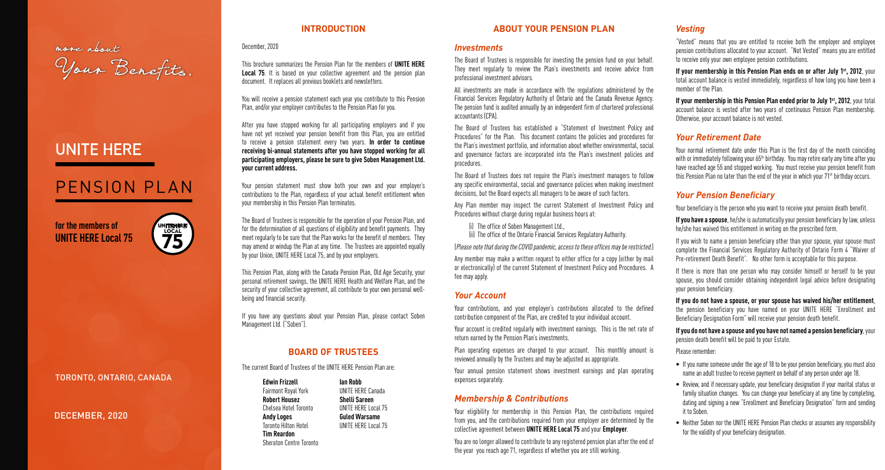more about<br>Your Benefits.

#### DECEMBER, 2020

TORONTO, ONTARIO, CANADA

# UNITE HERE

# PENSION PLAN

**for the members of UNITE HERE Local 75**



#### **INTRODUCTION**

December, 2020

This brochure summarizes the Pension Plan for the members of **UNITE HERE Local 75.** It is based on your collective agreement and the pension plan document. It replaces all previous booklets and newsletters.

You will receive a pension statement each year you contribute to this Pension Plan, and/or your employer contributes to the Pension Plan for you.

After you have stopped working for all participating employers and if you have not yet received your pension benefit from this Plan, you are entitled to receive a pension statement every two years. **In order to continue receiving bi-annual statements after you have stopped working for all participating employers, please be sure to give Soben Management Ltd. your current address.** 

Your pension statement must show both your own and your employer's contributions to the Plan, regardless of your actual benefit entitlement when your membership in this Pension Plan terminates.

The Board of Trustees is responsible for the operation of your Pension Plan, and for the determination of all questions of eligibility and benefit payments. They meet regularly to be sure that the Plan works for the benefit of members. They may amend or windup the Plan at any time. The Trustees are appointed equally by your Union, UNITE HERE Local 75, and by your employers.

This Pension Plan, along with the Canada Pension Plan, Old Age Security, your personal retirement savings, the UNITE HERE Health and Welfare Plan, and the security of your collective agreement, all contribute to your own personal wellbeing and financial security.

If you have any questions about your Pension Plan, please contact Soben Management Ltd. ("Soben").

#### **BOARD OF TRUSTEES**

The current Board of Trustees of the UNITE HERE Pension Plan are:

**Edwin Frizzell Ian Robb** Fairmont Royal York **Robert Housez Shelli Sareen** Chelsea Hotel Toronto UNITE HERE Local 75 **Andy Loges Guled Warsame** Toronto Hilton Hotel UNITE HERE Local 75 **Tim Reardon** Sheraton Centre Toronto

#### **ABOUT YOUR PENSION PLAN**

#### *Investments*

The Board of Trustees is responsible for investing the pension fund on your behalf. They meet regularly to review the Plan's investments and receive advice from professional investment advisors.

All investments are made in accordance with the regulations administered by the Financial Services Regulatory Authority of Ontario and the Canada Revenue Agency. The pension fund is audited annually by an independent firm of chartered professional accountants (CPA).

**If your membership in this Pension Plan ends on or after July 1<sup>st</sup>, 2012, your** total account balance is vested immediately, regardless of how long you have been a member of the Plan.

**If your membership in this Pension Plan ended prior to July 1<sup>st</sup>, 2012**, your total account balance is vested after two years of continuous Pension Plan membership. Otherwise, your account balance is not vested.

Your normal retirement date under this Plan is the first day of the month coinciding with or immediately following your 65<sup>th</sup> birthday. You may retire early any time after you have reached age 55 and stopped working. You must receive your pension benefit from this Pension Plan no later than the end of the year in which your 71<sup>st</sup> birthday occurs.

The Board of Trustees has established a "Statement of Investment Policy and Procedures" for the Plan. This document contains the policies and procedures for the Plan's investment portfolio, and information about whether environmental, social and governance factors are incorporated into the Plan's investment policies and procedures.

The Board of Trustees does not require the Plan's investment managers to follow any specific environmental, social and governance policies when making investment decisions, but the Board expects all managers to be aware of such factors.

Any Plan member may inspect the current Statement of Investment Policy and Procedures without charge during regular business hours at:

(i) The office of Soben Management Ltd.,

(ii) The office of the Ontario Financial Services Regulatory Authority.

(Please note that during the COVID pandemic, access to these offices may be restricted.)

Any member may make a written request to either office for a copy (either by mail or electronically) of the current Statement of Investment Policy and Procedures. A fee may apply.

### *Your Account*

Your contributions, and your employer's contributions allocated to the defined contribution component of the Plan, are credited to your individual account.

Your account is credited regularly with investment earnings. This is the net rate of return earned by the Pension Plan's investments.

Plan operating expenses are charged to your account. This monthly amount is reviewed annually by the Trustees and may be adjusted as appropriate.

Your annual pension statement shows investment earnings and plan operating expenses separately.

#### *Membership & Contributions*

Your eligibility for membership in this Pension Plan, the contributions required from you, and the contributions required from your employer are determined by the collective agreement between **UNITE HERE Local 75** and your **Employer**.

You are no longer allowed to contribute to any registered pension plan after the end of the year you reach age 71, regardless of whether you are still working.

# *Vesting*

"Vested" means that you are entitled to receive both the employer and employee pension contributions allocated to your account. "Not Vested" means you are entitled to receive only your own employee pension contributions.

### *Your Retirement Date*

# *Your Pension Beneficiary*

Your beneficiary is the person who you want to receive your pension death benefit.

- **If you have a spouse**, he/she is automatically your pension beneficiary by law, unless he/she has waived this entitlement in writing on the prescribed form.
- If you wish to name a pension beneficiary other than your spouse, your spouse must complete the Financial Services Regulatory Authority of Ontario Form 4 "Waiver of Pre-retirement Death Benefit". No other form is acceptable for this purpose.
- If there is more than one person who may consider himself or herself to be your spouse, you should consider obtaining independent legal advice before designating your pension beneficiary.
- **If you do not have a spouse, or your spouse has waived his/her entitlement**, the pension beneficiary you have named on your UNITE HERE "Enrollment and Beneficiary Designation Form" will receive your pension death benefit.
- **If you do not have a spouse and you have not named a pension beneficiary**, your pension death benefit will be paid to your Estate.
- Please remember:
- If you name someone under the age of 18 to be your pension beneficiary, you must also name an adult trustee to receive payment on behalf of any person under age 18.
- Review, and if necessary update, your beneficiary designation if your marital status or family situation changes. You can change your beneficiary at any time by completing, dating and signing a new "Enrollment and Beneficiary Designation" form and sending it to Soben.
- Neither Soben nor the UNITE HERE Pension Plan checks or assumes any responsibility for the validity of your beneficiary designation.